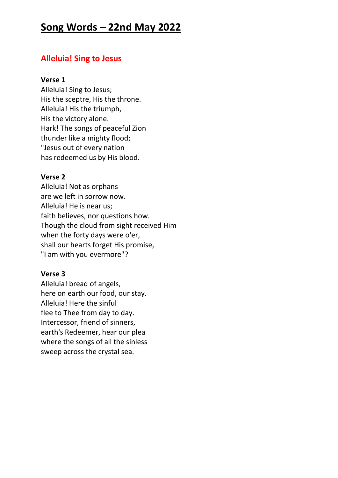# **Song Words – 22nd May 2022**

# **Alleluia! Sing to Jesus**

### **Verse 1**

Alleluia! Sing to Jesus; His the sceptre, His the throne. Alleluia! His the triumph, His the victory alone. Hark! The songs of peaceful Zion thunder like a mighty flood; "Jesus out of every nation has redeemed us by His blood.

### **Verse 2**

Alleluia! Not as orphans are we left in sorrow now. Alleluia! He is near us; faith believes, nor questions how. Though the cloud from sight received Him when the forty days were o'er, shall our hearts forget His promise, "I am with you evermore"?

### **Verse 3**

Alleluia! bread of angels, here on earth our food, our stay. Alleluia! Here the sinful flee to Thee from day to day. Intercessor, friend of sinners, earth's Redeemer, hear our plea where the songs of all the sinless sweep across the crystal sea.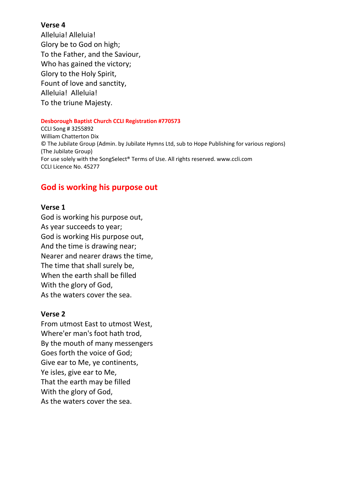### **Verse 4**

Alleluia! Alleluia! Glory be to God on high; To the Father, and the Saviour, Who has gained the victory; Glory to the Holy Spirit, Fount of love and sanctity, Alleluia! Alleluia! To the triune Majesty.

#### **Desborough Baptist Church CCLI Registration #770573**

CCLI Song # 3255892 William Chatterton Dix © The Jubilate Group (Admin. by Jubilate Hymns Ltd, sub to Hope Publishing for various regions) (The Jubilate Group) For use solely with the SongSelect® Terms of Use. All rights reserved. www.ccli.com CCLI Licence No. 45277

# **God is working his purpose out**

### **Verse 1**

God is working his purpose out, As year succeeds to year; God is working His purpose out, And the time is drawing near; Nearer and nearer draws the time, The time that shall surely be, When the earth shall be filled With the glory of God, As the waters cover the sea.

### **Verse 2**

From utmost East to utmost West, Where'er man's foot hath trod, By the mouth of many messengers Goes forth the voice of God; Give ear to Me, ye continents, Ye isles, give ear to Me, That the earth may be filled With the glory of God, As the waters cover the sea.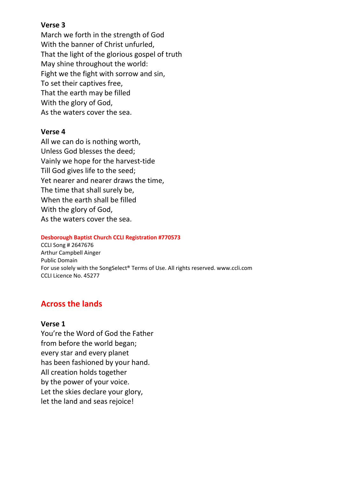### **Verse 3**

March we forth in the strength of God With the banner of Christ unfurled, That the light of the glorious gospel of truth May shine throughout the world: Fight we the fight with sorrow and sin, To set their captives free, That the earth may be filled With the glory of God, As the waters cover the sea.

### **Verse 4**

All we can do is nothing worth, Unless God blesses the deed; Vainly we hope for the harvest-tide Till God gives life to the seed; Yet nearer and nearer draws the time, The time that shall surely be, When the earth shall be filled With the glory of God, As the waters cover the sea.

#### **Desborough Baptist Church CCLI Registration #770573**

CCLI Song # 2647676 Arthur Campbell Ainger Public Domain For use solely with the SongSelect® Terms of Use. All rights reserved. www.ccli.com CCLI Licence No. 45277

# **Across the lands**

### **Verse 1**

You're the Word of God the Father from before the world began; every star and every planet has been fashioned by your hand. All creation holds together by the power of your voice. Let the skies declare your glory, let the land and seas rejoice!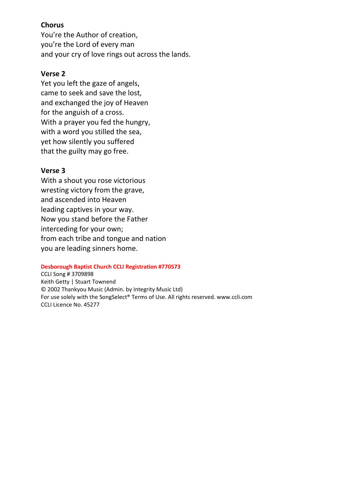### **Chorus**

You're the Author of creation, you're the Lord of every man and your cry of love rings out across the lands.

### **Verse 2**

Yet you left the gaze of angels, came to seek and save the lost, and exchanged the joy of Heaven for the anguish of a cross. With a prayer you fed the hungry, with a word you stilled the sea, yet how silently you suffered that the guilty may go free.

### **Verse 3**

With a shout you rose victorious wresting victory from the grave, and ascended into Heaven leading captives in your way. Now you stand before the Father interceding for your own; from each tribe and tongue and nation you are leading sinners home.

### **Desborough Baptist Church CCLI Registration #770573**

CCLI Song # 3709898 Keith Getty | Stuart Townend © 2002 Thankyou Music (Admin. by Integrity Music Ltd) For use solely with the SongSelect® Terms of Use. All rights reserved. www.ccli.com CCLI Licence No. 45277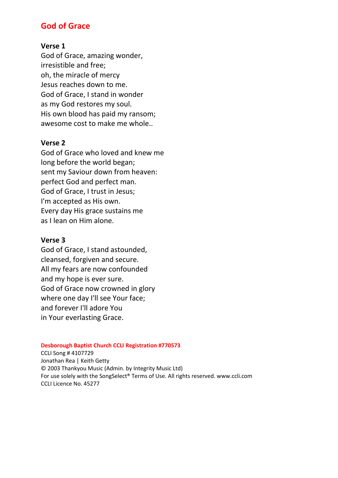## **God of Grace**

#### **Verse 1**

God of Grace, amazing wonder, irresistible and free; oh, the miracle of mercy Jesus reaches down to me. God of Grace, I stand in wonder as my God restores my soul. His own blood has paid my ransom; awesome cost to make me whole..

### **Verse 2**

God of Grace who loved and knew me long before the world began; sent my Saviour down from heaven: perfect God and perfect man. God of Grace, I trust in Jesus; I'm accepted as His own. Every day His grace sustains me as I lean on Him alone.

#### **Verse 3**

God of Grace, I stand astounded, cleansed, forgiven and secure. All my fears are now confounded and my hope is ever sure. God of Grace now crowned in glory where one day I'll see Your face; and forever I'll adore You in Your everlasting Grace.

#### **Desborough Baptist Church CCLI Registration #770573**

CCLI Song # 4107729 Jonathan Rea | Keith Getty © 2003 Thankyou Music (Admin. by Integrity Music Ltd) For use solely with the SongSelect® Terms of Use. All rights reserved. www.ccli.com CCLI Licence No. 45277